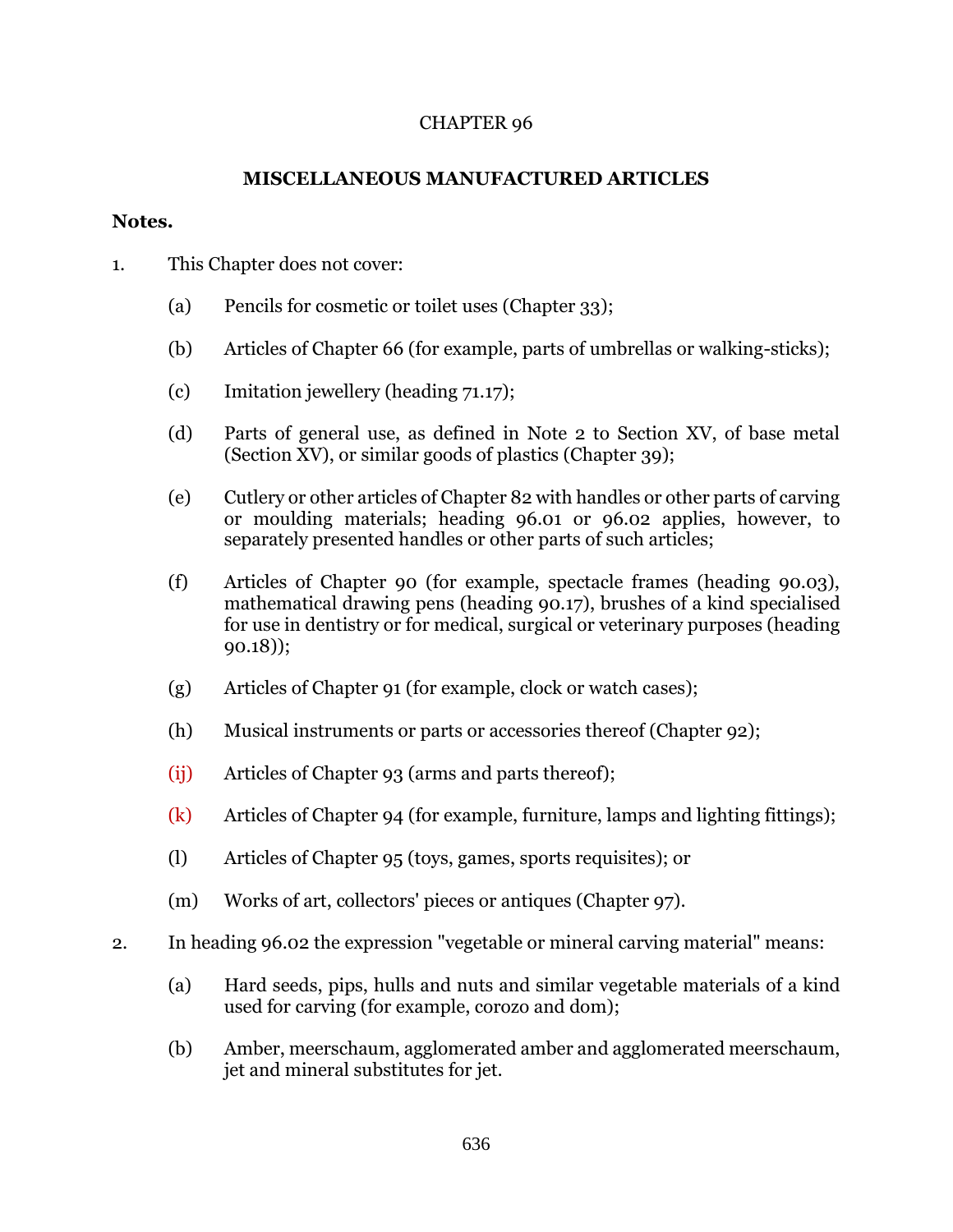## CHAPTER 96

## **MISCELLANEOUS MANUFACTURED ARTICLES**

## **Notes.**

- 1. This Chapter does not cover:
	- (a) Pencils for cosmetic or toilet uses (Chapter 33);
	- (b) Articles of Chapter 66 (for example, parts of umbrellas or walking-sticks);
	- (c) Imitation jewellery (heading 71.17);
	- (d) Parts of general use, as defined in Note 2 to Section XV, of base metal (Section XV), or similar goods of plastics (Chapter 39);
	- (e) Cutlery or other articles of Chapter 82 with handles or other parts of carving or moulding materials; heading 96.01 or 96.02 applies, however, to separately presented handles or other parts of such articles;
	- (f) Articles of Chapter 90 (for example, spectacle frames (heading 90.03), mathematical drawing pens (heading 90.17), brushes of a kind specialised for use in dentistry or for medical, surgical or veterinary purposes (heading 90.18));
	- (g) Articles of Chapter 91 (for example, clock or watch cases);
	- (h) Musical instruments or parts or accessories thereof (Chapter 92);
	- (ij) Articles of Chapter 93 (arms and parts thereof);
	- (k) Articles of Chapter 94 (for example, furniture, lamps and lighting fittings);
	- (l) Articles of Chapter 95 (toys, games, sports requisites); or
	- (m) Works of art, collectors' pieces or antiques (Chapter 97).
- 2. In heading 96.02 the expression "vegetable or mineral carving material" means:
	- (a) Hard seeds, pips, hulls and nuts and similar vegetable materials of a kind used for carving (for example, corozo and dom);
	- (b) Amber, meerschaum, agglomerated amber and agglomerated meerschaum, jet and mineral substitutes for jet.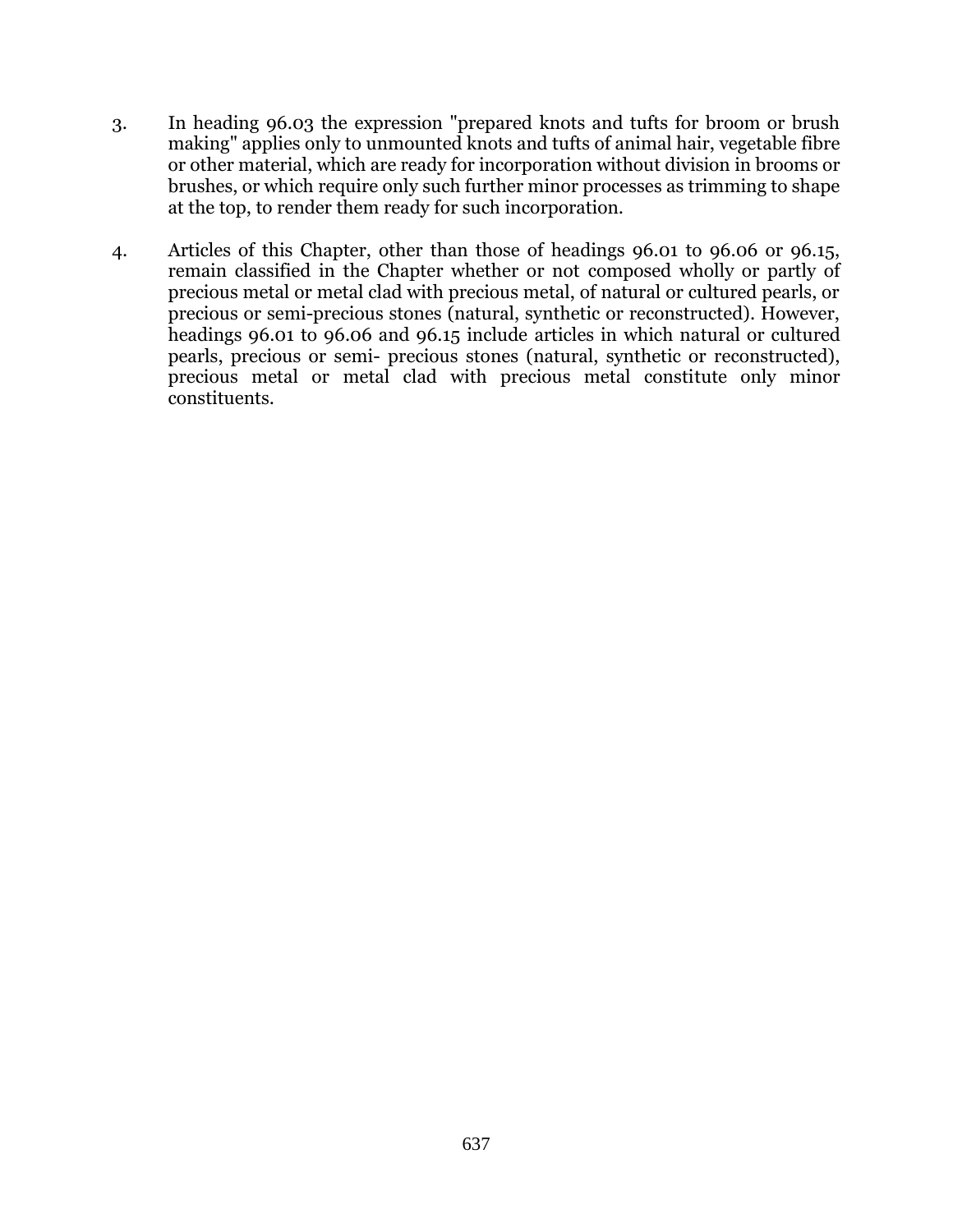- 3. In heading 96.03 the expression "prepared knots and tufts for broom or brush making" applies only to unmounted knots and tufts of animal hair, vegetable fibre or other material, which are ready for incorporation without division in brooms or brushes, or which require only such further minor processes as trimming to shape at the top, to render them ready for such incorporation.
- 4. Articles of this Chapter, other than those of headings 96.01 to 96.06 or 96.15, remain classified in the Chapter whether or not composed wholly or partly of precious metal or metal clad with precious metal, of natural or cultured pearls, or precious or semi-precious stones (natural, synthetic or reconstructed). However, headings 96.01 to 96.06 and 96.15 include articles in which natural or cultured pearls, precious or semi- precious stones (natural, synthetic or reconstructed), precious metal or metal clad with precious metal constitute only minor constituents.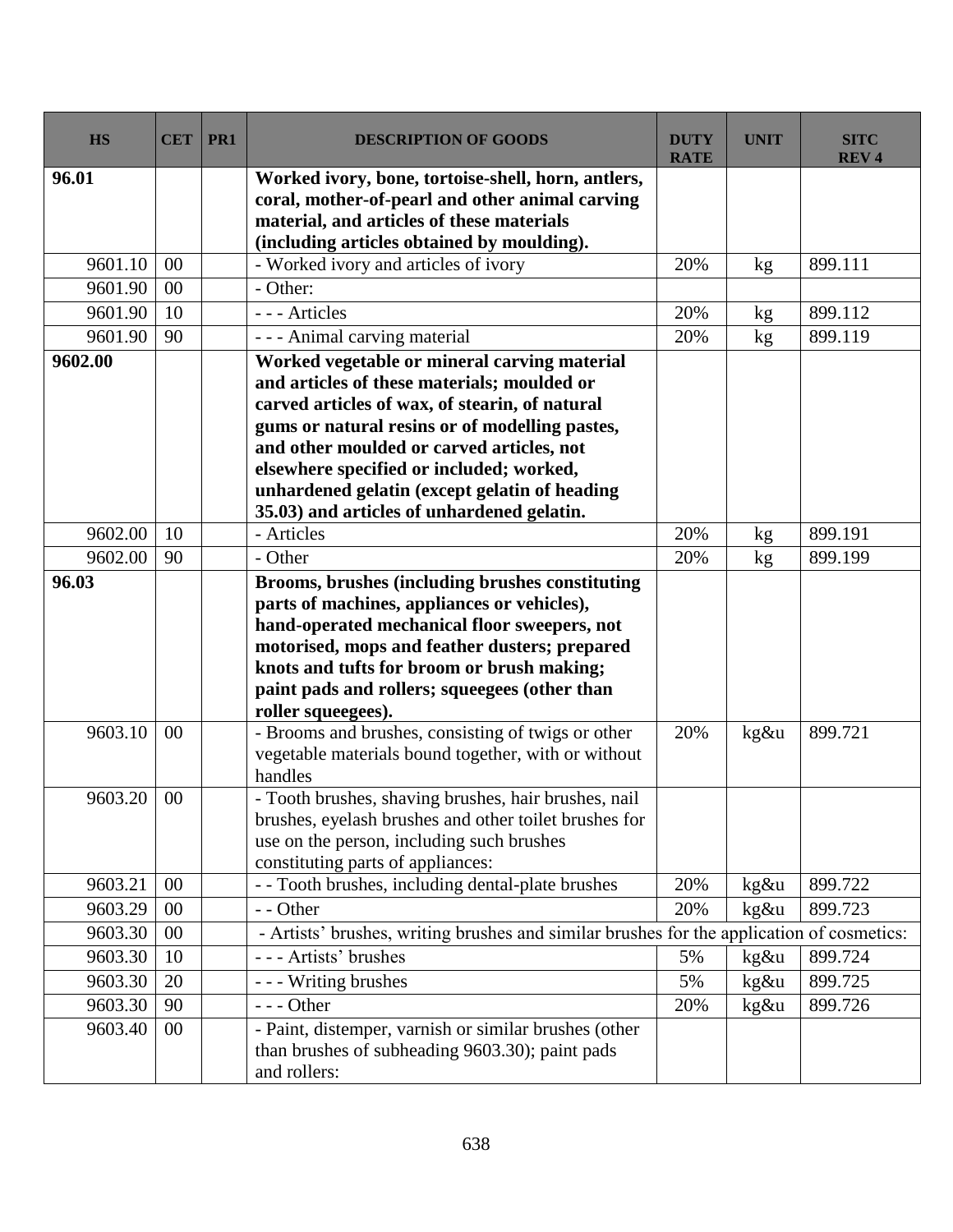| <b>HS</b> | <b>CET</b> | PR <sub>1</sub> | <b>DESCRIPTION OF GOODS</b>                                                                                                                                                                                                                                                                                                                                                             | <b>DUTY</b><br><b>RATE</b> | <b>UNIT</b> | <b>SITC</b><br><b>REV4</b> |
|-----------|------------|-----------------|-----------------------------------------------------------------------------------------------------------------------------------------------------------------------------------------------------------------------------------------------------------------------------------------------------------------------------------------------------------------------------------------|----------------------------|-------------|----------------------------|
| 96.01     |            |                 | Worked ivory, bone, tortoise-shell, horn, antlers,<br>coral, mother-of-pearl and other animal carving<br>material, and articles of these materials<br>(including articles obtained by moulding).                                                                                                                                                                                        |                            |             |                            |
| 9601.10   | 00         |                 | - Worked ivory and articles of ivory                                                                                                                                                                                                                                                                                                                                                    | 20%                        | kg          | 899.111                    |
| 9601.90   | $00\,$     |                 | - Other:                                                                                                                                                                                                                                                                                                                                                                                |                            |             |                            |
| 9601.90   | 10         |                 | --- Articles                                                                                                                                                                                                                                                                                                                                                                            | 20%                        | kg          | 899.112                    |
| 9601.90   | 90         |                 | - - - Animal carving material                                                                                                                                                                                                                                                                                                                                                           | 20%                        | kg          | 899.119                    |
| 9602.00   |            |                 | Worked vegetable or mineral carving material<br>and articles of these materials; moulded or<br>carved articles of wax, of stearin, of natural<br>gums or natural resins or of modelling pastes,<br>and other moulded or carved articles, not<br>elsewhere specified or included; worked,<br>unhardened gelatin (except gelatin of heading<br>35.03) and articles of unhardened gelatin. |                            |             |                            |
| 9602.00   | 10         |                 | - Articles                                                                                                                                                                                                                                                                                                                                                                              | 20%                        | kg          | 899.191                    |
| 9602.00   | 90         |                 | - Other                                                                                                                                                                                                                                                                                                                                                                                 | 20%                        | kg          | 899.199                    |
| 96.03     |            |                 | Brooms, brushes (including brushes constituting<br>parts of machines, appliances or vehicles),<br>hand-operated mechanical floor sweepers, not<br>motorised, mops and feather dusters; prepared<br>knots and tufts for broom or brush making;<br>paint pads and rollers; squeegees (other than<br>roller squeegees).                                                                    |                            |             |                            |
| 9603.10   | 00         |                 | - Brooms and brushes, consisting of twigs or other<br>vegetable materials bound together, with or without<br>handles                                                                                                                                                                                                                                                                    | 20%                        | kg&u        | 899.721                    |
| 9603.20   | 00         |                 | - Tooth brushes, shaving brushes, hair brushes, nail<br>brushes, eyelash brushes and other toilet brushes for<br>use on the person, including such brushes<br>constituting parts of appliances:                                                                                                                                                                                         |                            |             |                            |
| 9603.21   | 00         |                 | - - Tooth brushes, including dental-plate brushes                                                                                                                                                                                                                                                                                                                                       | 20%                        | kg&u        | 899.722                    |
| 9603.29   | 00         |                 | - - Other                                                                                                                                                                                                                                                                                                                                                                               | 20%                        | kg&u        | 899.723                    |
| 9603.30   | 00         |                 | - Artists' brushes, writing brushes and similar brushes for the application of cosmetics:                                                                                                                                                                                                                                                                                               |                            |             |                            |
| 9603.30   | 10         |                 | - - - Artists' brushes                                                                                                                                                                                                                                                                                                                                                                  | 5%                         | kg&u        | 899.724                    |
| 9603.30   | 20         |                 | - - - Writing brushes                                                                                                                                                                                                                                                                                                                                                                   | 5%                         | kg&u        | 899.725                    |
| 9603.30   | 90         |                 | $--$ Other                                                                                                                                                                                                                                                                                                                                                                              | 20%                        | kg&u        | 899.726                    |
| 9603.40   | $00\,$     |                 | - Paint, distemper, varnish or similar brushes (other<br>than brushes of subheading 9603.30); paint pads<br>and rollers:                                                                                                                                                                                                                                                                |                            |             |                            |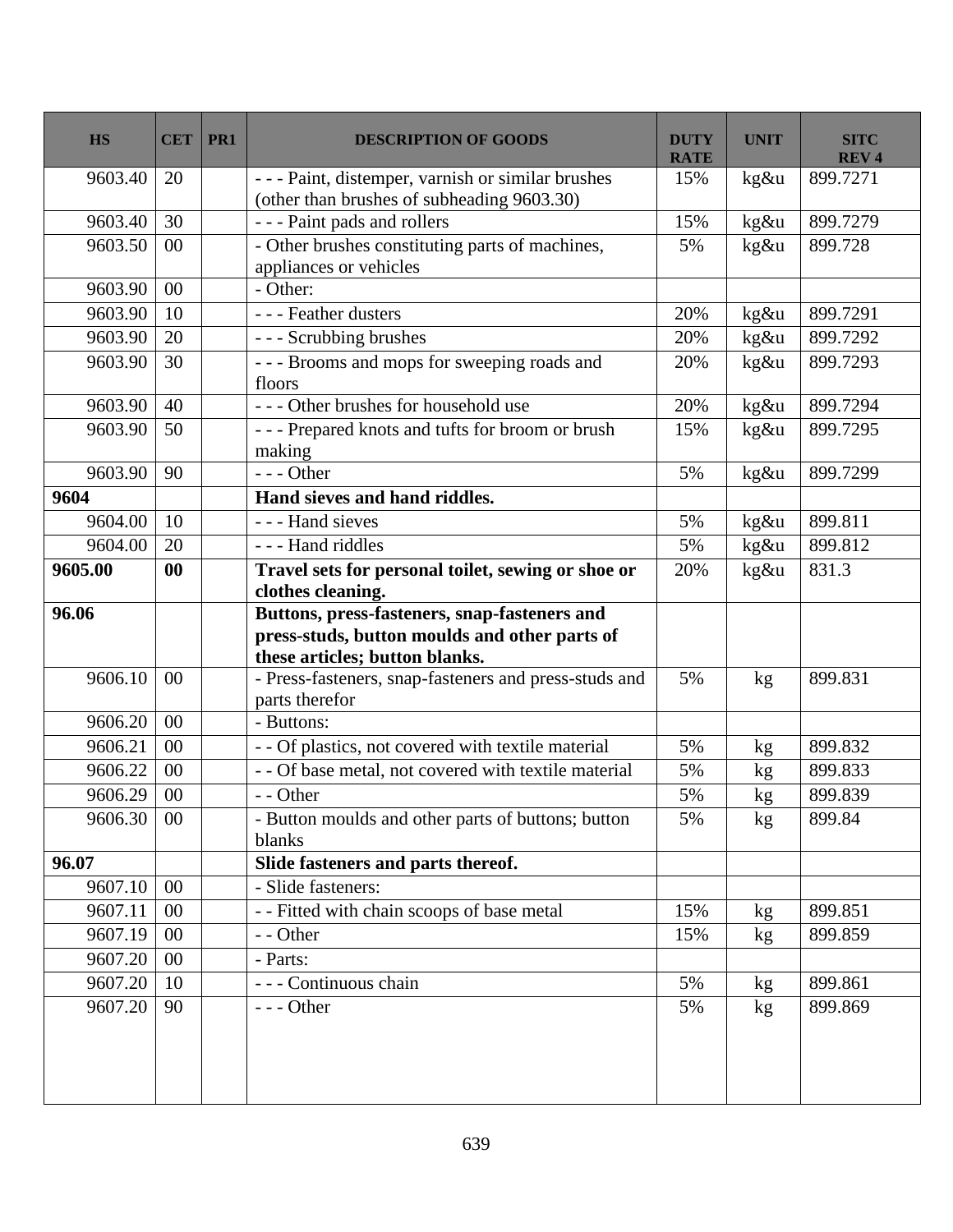| <b>HS</b>    | <b>CET</b> | PR <sub>1</sub> | <b>DESCRIPTION OF GOODS</b>                                                                                                     | <b>DUTY</b><br><b>RATE</b> | <b>UNIT</b> | <b>SITC</b><br><b>REV4</b> |
|--------------|------------|-----------------|---------------------------------------------------------------------------------------------------------------------------------|----------------------------|-------------|----------------------------|
| 9603.40      | 20         |                 | - - - Paint, distemper, varnish or similar brushes<br>(other than brushes of subheading 9603.30)                                | 15%                        | kg&u        | 899.7271                   |
| 9603.40      | 30         |                 | --- Paint pads and rollers                                                                                                      | 15%                        | kg&u        | 899.7279                   |
| 9603.50      | 00         |                 | - Other brushes constituting parts of machines,<br>appliances or vehicles                                                       | 5%                         | kg&u        | 899.728                    |
| 9603.90      | $00\,$     |                 | - Other:                                                                                                                        |                            |             |                            |
| 9603.90      | 10         |                 | - - - Feather dusters                                                                                                           | 20%                        | kg&u        | 899.7291                   |
| 9603.90      | 20         |                 | --- Scrubbing brushes                                                                                                           | 20%                        | kg&u        | 899.7292                   |
| 9603.90      | 30         |                 | --- Brooms and mops for sweeping roads and<br>floors                                                                            | 20%                        | kg&u        | 899.7293                   |
| 9603.90      | 40         |                 | --- Other brushes for household use                                                                                             | 20%                        | kg&u        | 899.7294                   |
| 9603.90      | 50         |                 | --- Prepared knots and tufts for broom or brush<br>making                                                                       | 15%                        | kg&u        | 899.7295                   |
| 9603.90      | 90         |                 | $--$ Other                                                                                                                      | 5%                         | kg&u        | 899.7299                   |
| 9604         |            |                 | Hand sieves and hand riddles.                                                                                                   |                            |             |                            |
| 9604.00      | 10         |                 | - - - Hand sieves                                                                                                               | 5%                         | kg&u        | 899.811                    |
| 9604.00      | 20         |                 | --- Hand riddles                                                                                                                | 5%                         | kg&u        | 899.812                    |
| 9605.00      | 00         |                 | Travel sets for personal toilet, sewing or shoe or<br>clothes cleaning.                                                         | 20%                        | kg&u        | 831.3                      |
| 96.06        |            |                 | Buttons, press-fasteners, snap-fasteners and<br>press-studs, button moulds and other parts of<br>these articles; button blanks. |                            |             |                            |
| 9606.10      | $00\,$     |                 | - Press-fasteners, snap-fasteners and press-studs and<br>parts therefor                                                         | 5%                         | kg          | 899.831                    |
| 9606.20      | 00         |                 | - Buttons:                                                                                                                      |                            |             |                            |
| 9606.21      | 00         |                 | - - Of plastics, not covered with textile material                                                                              | 5%                         | kg          | 899.832                    |
| 9606.22      | 00         |                 | - - Of base metal, not covered with textile material                                                                            | 5%                         | kg          | 899.833                    |
| 9606.29      | 00         |                 | - - Other                                                                                                                       | 5%                         | kg          | 899.839                    |
| 9606.30   00 |            |                 | - Button moulds and other parts of buttons; button<br>blanks                                                                    | 5%                         | kg          | 899.84                     |
| 96.07        |            |                 | Slide fasteners and parts thereof.                                                                                              |                            |             |                            |
| 9607.10      | $00\,$     |                 | - Slide fasteners:                                                                                                              |                            |             |                            |
| 9607.11      | $00\,$     |                 | - - Fitted with chain scoops of base metal                                                                                      | 15%                        | kg          | 899.851                    |
| 9607.19      | $00\,$     |                 | - - Other                                                                                                                       | 15%                        | kg          | 899.859                    |
| 9607.20      | $00\,$     |                 | - Parts:                                                                                                                        |                            |             |                            |
| 9607.20      | 10         |                 | - - - Continuous chain                                                                                                          | 5%                         | kg          | 899.861                    |
| 9607.20      | 90         |                 | $--$ Other                                                                                                                      | 5%                         | kg          | 899.869                    |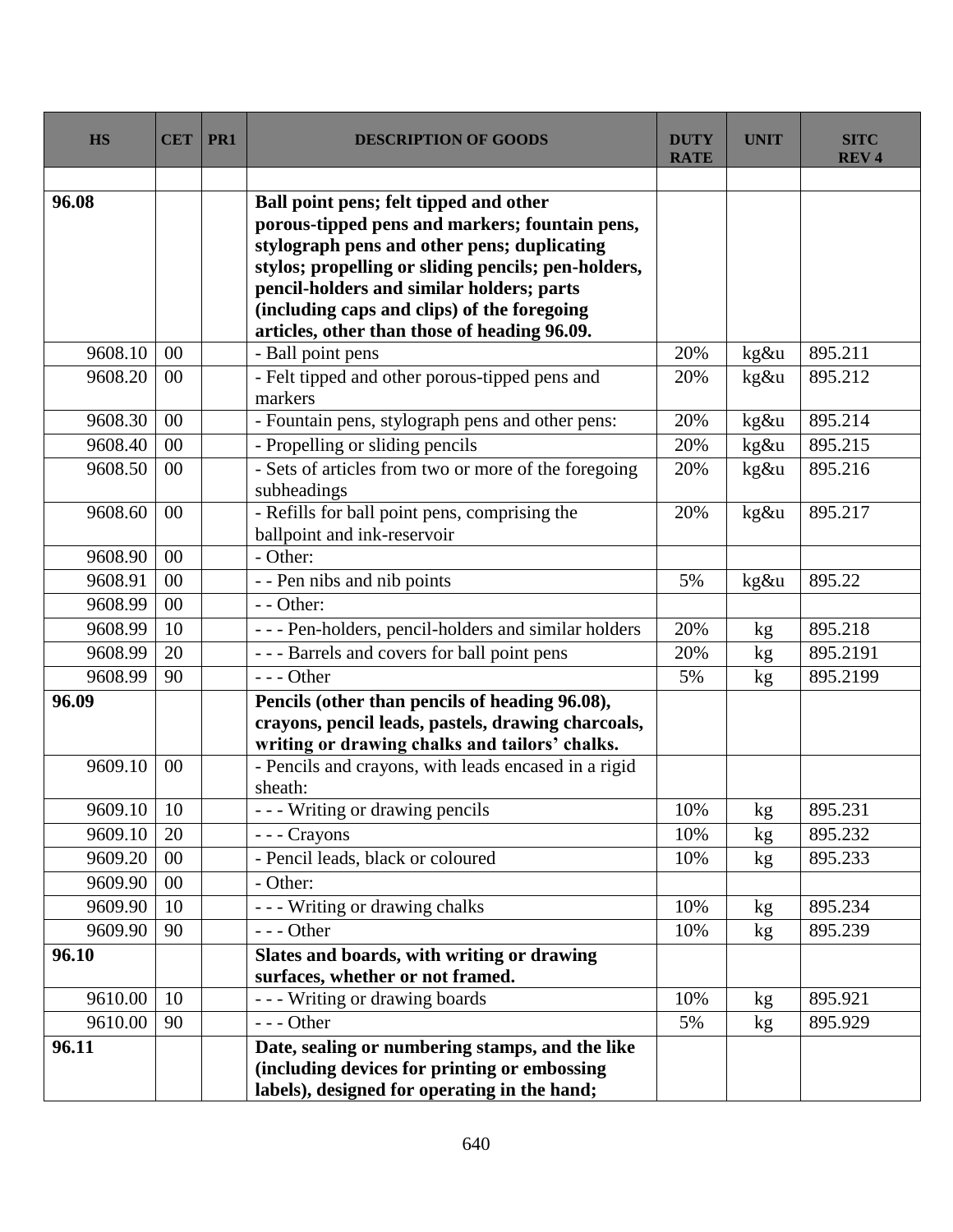| <b>HS</b>    | <b>CET</b> | PR1 | <b>DESCRIPTION OF GOODS</b>                                                                                                                                                                                                                                                                                                                | <b>DUTY</b><br><b>RATE</b> | <b>UNIT</b> | <b>SITC</b><br><b>REV4</b> |
|--------------|------------|-----|--------------------------------------------------------------------------------------------------------------------------------------------------------------------------------------------------------------------------------------------------------------------------------------------------------------------------------------------|----------------------------|-------------|----------------------------|
|              |            |     |                                                                                                                                                                                                                                                                                                                                            |                            |             |                            |
| 96.08        |            |     | Ball point pens; felt tipped and other<br>porous-tipped pens and markers; fountain pens,<br>stylograph pens and other pens; duplicating<br>stylos; propelling or sliding pencils; pen-holders,<br>pencil-holders and similar holders; parts<br>(including caps and clips) of the foregoing<br>articles, other than those of heading 96.09. |                            |             |                            |
| 9608.10      | $00\,$     |     | - Ball point pens                                                                                                                                                                                                                                                                                                                          | 20%                        | kg&u        | 895.211                    |
| 9608.20      | $00\,$     |     | - Felt tipped and other porous-tipped pens and<br>markers                                                                                                                                                                                                                                                                                  | 20%                        | kg&u        | 895.212                    |
| 9608.30      | $00\,$     |     | - Fountain pens, stylograph pens and other pens:                                                                                                                                                                                                                                                                                           | 20%                        | kg&u        | 895.214                    |
| 9608.40      | $00\,$     |     | - Propelling or sliding pencils                                                                                                                                                                                                                                                                                                            | 20%                        | kg&u        | 895.215                    |
| 9608.50      | 00         |     | - Sets of articles from two or more of the foregoing<br>subheadings                                                                                                                                                                                                                                                                        | 20%                        | kg&u        | 895.216                    |
| 9608.60      | $00\,$     |     | - Refills for ball point pens, comprising the<br>ballpoint and ink-reservoir                                                                                                                                                                                                                                                               | 20%                        | kg&u        | 895.217                    |
| 9608.90      | 00         |     | - Other:                                                                                                                                                                                                                                                                                                                                   |                            |             |                            |
| 9608.91      | 00         |     | - - Pen nibs and nib points                                                                                                                                                                                                                                                                                                                | 5%                         | kg&u        | 895.22                     |
| 9608.99      | $00\,$     |     | $-$ - Other:                                                                                                                                                                                                                                                                                                                               |                            |             |                            |
| 9608.99      | 10         |     | - - - Pen-holders, pencil-holders and similar holders                                                                                                                                                                                                                                                                                      | 20%                        | kg          | 895.218                    |
| 9608.99      | 20         |     | --- Barrels and covers for ball point pens                                                                                                                                                                                                                                                                                                 | 20%                        | kg          | 895.2191                   |
| 9608.99      | 90         |     | $--$ Other                                                                                                                                                                                                                                                                                                                                 | 5%                         | kg          | 895.2199                   |
| 96.09        |            |     | Pencils (other than pencils of heading 96.08),<br>crayons, pencil leads, pastels, drawing charcoals,<br>writing or drawing chalks and tailors' chalks.                                                                                                                                                                                     |                            |             |                            |
| 9609.10      | $00\,$     |     | - Pencils and crayons, with leads encased in a rigid<br>sheath:                                                                                                                                                                                                                                                                            |                            |             |                            |
| 9609.10   10 |            |     | - - - Writing or drawing pencils                                                                                                                                                                                                                                                                                                           | $10\%$                     | kg          | 895.231                    |
| 9609.10      | 20         |     | - - - Crayons                                                                                                                                                                                                                                                                                                                              | 10%                        | kg          | 895.232                    |
| 9609.20      | $00\,$     |     | - Pencil leads, black or coloured                                                                                                                                                                                                                                                                                                          | 10%                        | kg          | 895.233                    |
| 9609.90      | $00\,$     |     | - Other:                                                                                                                                                                                                                                                                                                                                   |                            |             |                            |
| 9609.90      | 10         |     | --- Writing or drawing chalks                                                                                                                                                                                                                                                                                                              | 10%                        | kg          | 895.234                    |
| 9609.90      | 90         |     | $--$ Other                                                                                                                                                                                                                                                                                                                                 | 10%                        | kg          | 895.239                    |
| 96.10        |            |     | Slates and boards, with writing or drawing<br>surfaces, whether or not framed.                                                                                                                                                                                                                                                             |                            |             |                            |
| 9610.00      | 10         |     | --- Writing or drawing boards                                                                                                                                                                                                                                                                                                              | 10%                        | kg          | 895.921                    |
| 9610.00      | 90         |     | $--$ Other                                                                                                                                                                                                                                                                                                                                 | 5%                         | kg          | 895.929                    |
| 96.11        |            |     | Date, sealing or numbering stamps, and the like<br>(including devices for printing or embossing<br>labels), designed for operating in the hand;                                                                                                                                                                                            |                            |             |                            |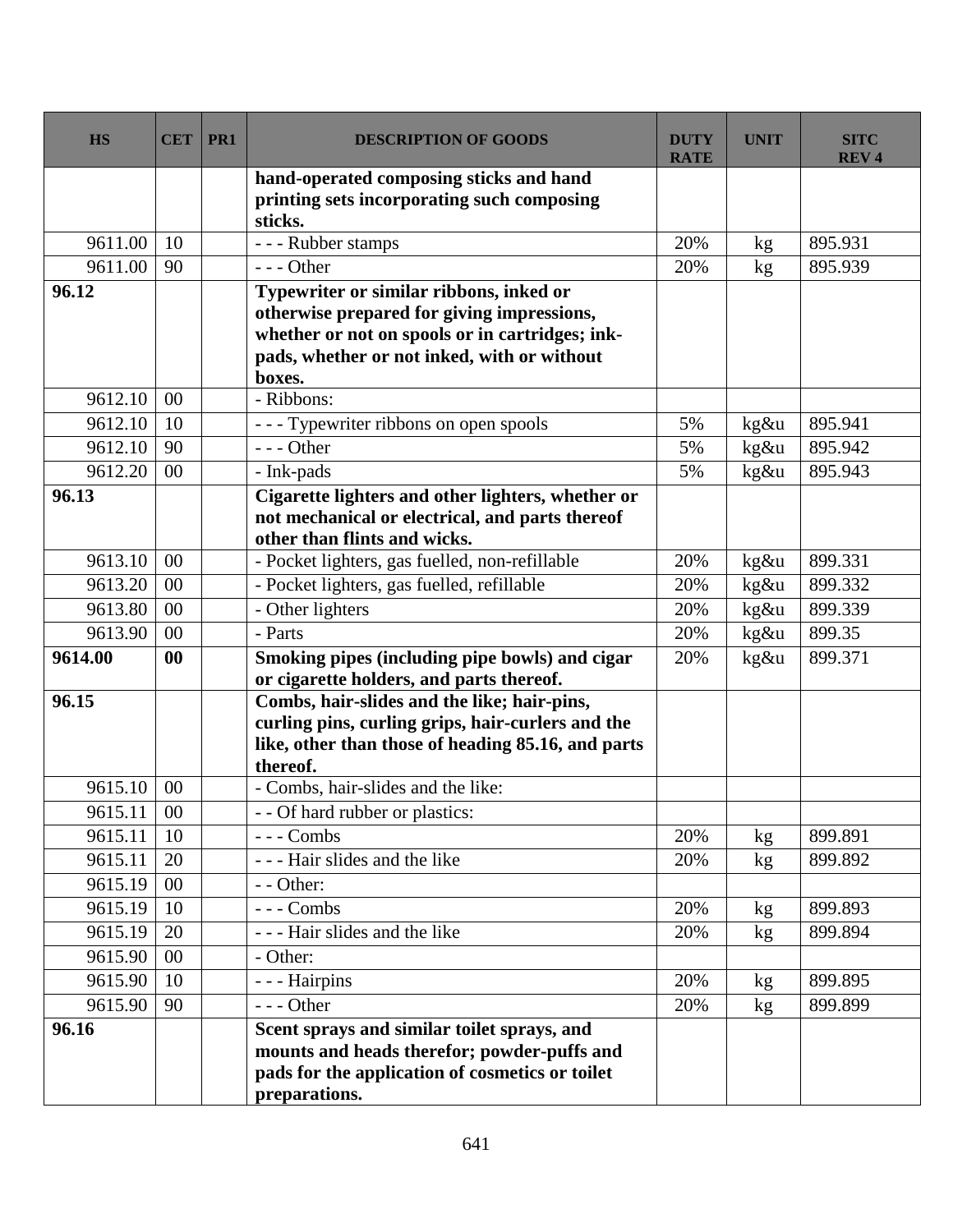| <b>HS</b>  | <b>CET</b> | PR1 | <b>DESCRIPTION OF GOODS</b>                                                                      | <b>DUTY</b><br><b>RATE</b> | <b>UNIT</b> | <b>SITC</b><br><b>REV4</b> |
|------------|------------|-----|--------------------------------------------------------------------------------------------------|----------------------------|-------------|----------------------------|
|            |            |     | hand-operated composing sticks and hand<br>printing sets incorporating such composing<br>sticks. |                            |             |                            |
| 9611.00    | 10         |     | --- Rubber stamps                                                                                | 20%                        | kg          | 895.931                    |
| 9611.00    | 90         |     | $--$ Other                                                                                       | 20%                        | kg          | 895.939                    |
| 96.12      |            |     | Typewriter or similar ribbons, inked or                                                          |                            |             |                            |
|            |            |     | otherwise prepared for giving impressions,                                                       |                            |             |                            |
|            |            |     | whether or not on spools or in cartridges; ink-                                                  |                            |             |                            |
|            |            |     | pads, whether or not inked, with or without                                                      |                            |             |                            |
|            |            |     | boxes.                                                                                           |                            |             |                            |
| 9612.10    | $00\,$     |     | - Ribbons:                                                                                       |                            |             |                            |
| 9612.10    | 10         |     | --- Typewriter ribbons on open spools                                                            | 5%                         | kg&u        | 895.941                    |
| 9612.10    | 90         |     | $--$ Other                                                                                       | 5%                         | kg&u        | 895.942                    |
| 9612.20    | $00\,$     |     | - Ink-pads                                                                                       | 5%                         | kg&u        | 895.943                    |
| 96.13      |            |     | Cigarette lighters and other lighters, whether or                                                |                            |             |                            |
|            |            |     | not mechanical or electrical, and parts thereof                                                  |                            |             |                            |
| 9613.10    | $00\,$     |     | other than flints and wicks.                                                                     | 20%                        |             | 899.331                    |
|            |            |     | - Pocket lighters, gas fuelled, non-refillable                                                   |                            | kg&u        |                            |
| 9613.20    | 00         |     | - Pocket lighters, gas fuelled, refillable                                                       | 20%                        | kg&u        | 899.332                    |
| 9613.80    | $00\,$     |     | - Other lighters                                                                                 | 20%                        | kg&u        | 899.339                    |
| 9613.90    | $00\,$     |     | - Parts                                                                                          | 20%                        | kg&u        | 899.35                     |
| 9614.00    | 00         |     | Smoking pipes (including pipe bowls) and cigar                                                   | 20%                        | kg&u        | 899.371                    |
| 96.15      |            |     | or cigarette holders, and parts thereof.<br>Combs, hair-slides and the like; hair-pins,          |                            |             |                            |
|            |            |     | curling pins, curling grips, hair-curlers and the                                                |                            |             |                            |
|            |            |     | like, other than those of heading 85.16, and parts                                               |                            |             |                            |
|            |            |     | thereof.                                                                                         |                            |             |                            |
| 9615.10    | 00         |     | - Combs, hair-slides and the like:                                                               |                            |             |                            |
| 9615.11 00 |            |     | - - Of hard rubber or plastics:                                                                  |                            |             |                            |
| 9615.11    | 10         |     | $--$ Combs                                                                                       | 20%                        | kg          | 899.891                    |
| 9615.11    | 20         |     | - - - Hair slides and the like                                                                   | 20%                        | kg          | 899.892                    |
| 9615.19    | $00\,$     |     | - - Other:                                                                                       |                            |             |                            |
| 9615.19    | 10         |     | $--$ Combs                                                                                       | 20%                        | kg          | 899.893                    |
| 9615.19    | 20         |     | - - - Hair slides and the like                                                                   | 20%                        | kg          | 899.894                    |
| 9615.90    | $00\,$     |     | - Other:                                                                                         |                            |             |                            |
| 9615.90    | 10         |     | - - - Hairpins                                                                                   | 20%                        | kg          | 899.895                    |
| 9615.90    | 90         |     | $--$ Other                                                                                       | 20%                        | kg          | 899.899                    |
| 96.16      |            |     | Scent sprays and similar toilet sprays, and                                                      |                            |             |                            |
|            |            |     | mounts and heads therefor; powder-puffs and                                                      |                            |             |                            |
|            |            |     | pads for the application of cosmetics or toilet                                                  |                            |             |                            |
|            |            |     | preparations.                                                                                    |                            |             |                            |